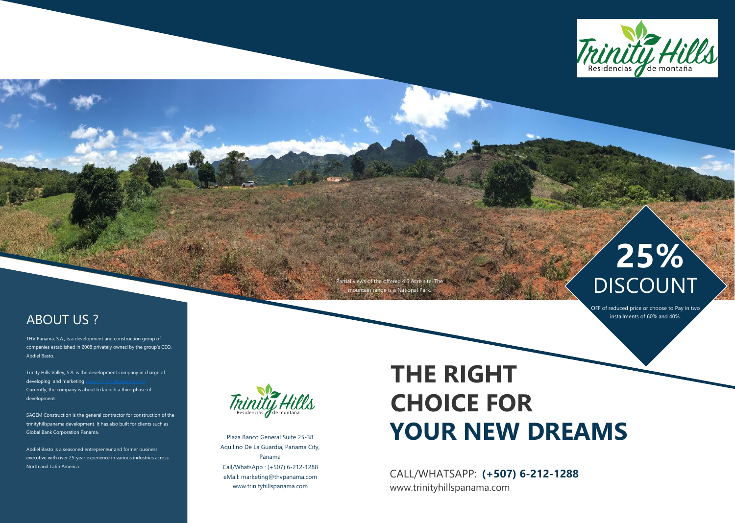# **25%** DISCOUNT

OFF of reduced price or choose to Pay in two installments of 60% and 40%.



## ABOUT US ?

THV Panama, S.A., is a development and construction group of companies established in 2008 privately owned by the group's CEO, Abdiel Basto.

Trinity Hills Valley, S.A. is the development company in charge of developing and marketing Currently, the company is about to launch a third phase of development.

> CALL/WHATSAPP: **(+507) 6-212-1288** www.trinityhillspanama.com



SAGEM Construction is the general contractor for construction of the trinityhillspanama development. It has also built for clients such as Global Bank Corporation Panama.

Partial views of the offered 4.6 Acre site. Th mountain range is a National Park.

Abdiel Basto is a seasoned entrepreneur and former business executive with over 25-year experience in various industries across North and Latin America.

Plaza Banco General Suite 25-38 Aquilino De La Guardia, Panama City, Panama Call/WhatsApp : (+507) 6-212-1288 eMail: marketing@thvpanama.com www.trinityhillspanama.com

# **THE RIGHT CHOICE FOR YOUR NEW DREAMS**